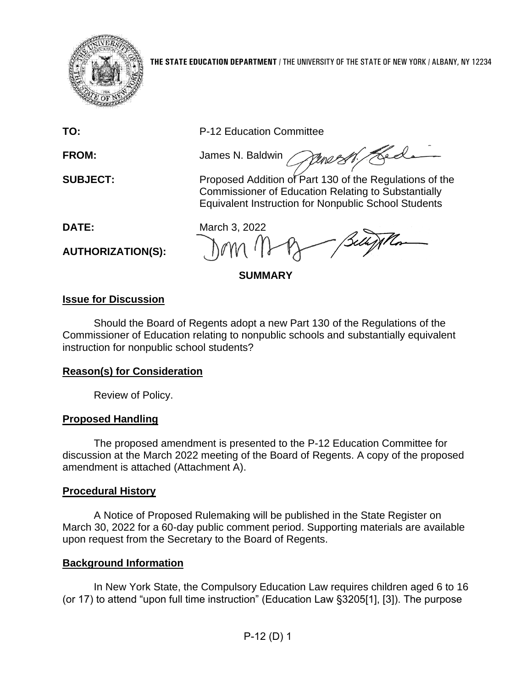

**TO:** P-12 Education Committee

messi Ledi **FROM:** James N. Baldwin

**SUBJECT:** Proposed Addition of Part 130 of the Regulations of the Commissioner of Education Relating to Substantially Equivalent Instruction for Nonpublic School Students

**AUTHORIZATION(S):**

**DATE:** March 3, 2022

**SUMMARY**

## **Issue for Discussion**

Should the Board of Regents adopt a new Part 130 of the Regulations of the Commissioner of Education relating to nonpublic schools and substantially equivalent instruction for nonpublic school students?

## **Reason(s) for Consideration**

Review of Policy.

## **Proposed Handling**

The proposed amendment is presented to the P-12 Education Committee for discussion at the March 2022 meeting of the Board of Regents. A copy of the proposed amendment is attached (Attachment A).

## **Procedural History**

A Notice of Proposed Rulemaking will be published in the State Register on March 30, 2022 for a 60-day public comment period. Supporting materials are available upon request from the Secretary to the Board of Regents.

## **Background Information**

In New York State, the Compulsory Education Law requires children aged 6 to 16 (or 17) to attend "upon full time instruction" (Education Law §3205[1], [3]). The purpose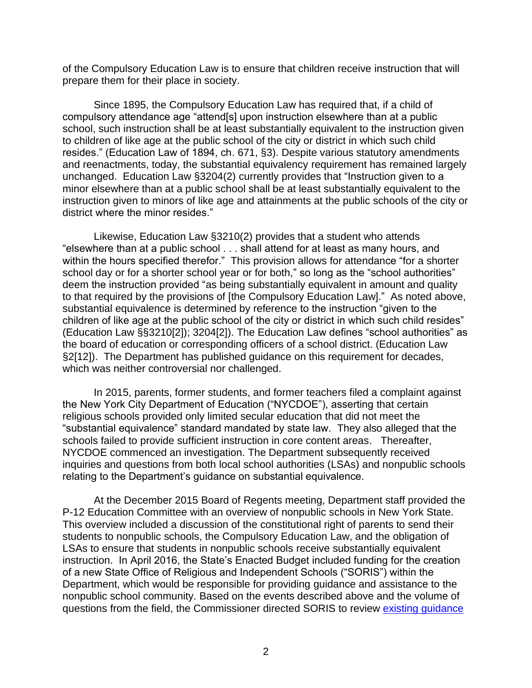of the Compulsory Education Law is to ensure that children receive instruction that will prepare them for their place in society.

Since 1895, the Compulsory Education Law has required that, if a child of compulsory attendance age "attend[s] upon instruction elsewhere than at a public school, such instruction shall be at least substantially equivalent to the instruction given to children of like age at the public school of the city or district in which such child resides." (Education Law of 1894, ch. 671, §3). Despite various statutory amendments and reenactments, today, the substantial equivalency requirement has remained largely unchanged. Education Law §3204(2) currently provides that "Instruction given to a minor elsewhere than at a public school shall be at least substantially equivalent to the instruction given to minors of like age and attainments at the public schools of the city or district where the minor resides."

Likewise, Education Law §3210(2) provides that a student who attends "elsewhere than at a public school . . . shall attend for at least as many hours, and within the hours specified therefor." This provision allows for attendance "for a shorter school day or for a shorter school year or for both," so long as the "school authorities" deem the instruction provided "as being substantially equivalent in amount and quality to that required by the provisions of [the Compulsory Education Law]." As noted above, substantial equivalence is determined by reference to the instruction "given to the children of like age at the public school of the city or district in which such child resides" (Education Law §§3210[2]); 3204[2]). The Education Law defines "school authorities" as the board of education or corresponding officers of a school district. (Education Law §2[12]). The Department has published guidance on this requirement for decades, which was neither controversial nor challenged.

In 2015, parents, former students, and former teachers filed a complaint against the New York City Department of Education ("NYCDOE"), asserting that certain religious schools provided only limited secular education that did not meet the "substantial equivalence" standard mandated by state law. They also alleged that the schools failed to provide sufficient instruction in core content areas. Thereafter, NYCDOE commenced an investigation. The Department subsequently received inquiries and questions from both local school authorities (LSAs) and nonpublic schools relating to the Department's guidance on substantial equivalence.

At the December 2015 Board of Regents meeting, Department staff provided the P-12 Education Committee with an overview of nonpublic schools in New York State. This overview included a discussion of the constitutional right of parents to send their students to nonpublic schools, the Compulsory Education Law, and the obligation of LSAs to ensure that students in nonpublic schools receive substantially equivalent instruction. In April 2016, the State's Enacted Budget included funding for the creation of a new State Office of Religious and Independent Schools ("SORIS") within the Department, which would be responsible for providing guidance and assistance to the nonpublic school community. Based on the events described above and the volume of questions from the field, the Commissioner directed SORIS to review [existing guidance](https://www.p12.nysed.gov/nonpub/guidelinesequivofinstruction.html)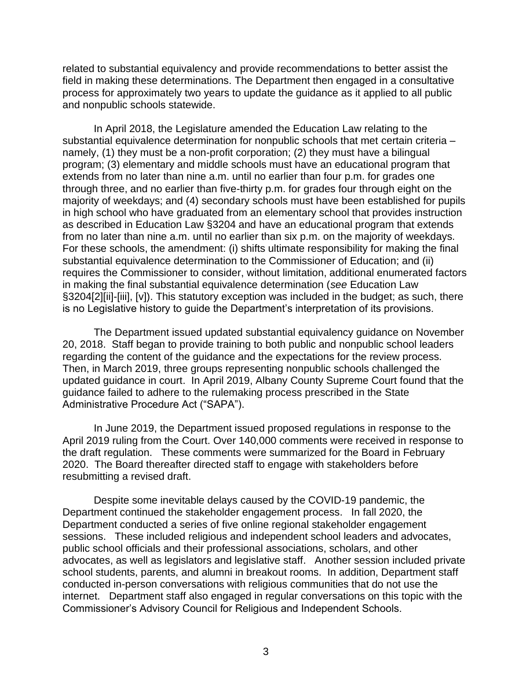related to substantial equivalency and provide recommendations to better assist the field in making these determinations. The Department then engaged in a consultative process for approximately two years to update the guidance as it applied to all public and nonpublic schools statewide.

In April 2018, the Legislature amended the Education Law relating to the substantial equivalence determination for nonpublic schools that met certain criteria – namely, (1) they must be a non-profit corporation; (2) they must have a bilingual program; (3) elementary and middle schools must have an educational program that extends from no later than nine a.m. until no earlier than four p.m. for grades one through three, and no earlier than five-thirty p.m. for grades four through eight on the majority of weekdays; and (4) secondary schools must have been established for pupils in high school who have graduated from an elementary school that provides instruction as described in Education Law §3204 and have an educational program that extends from no later than nine a.m. until no earlier than six p.m. on the majority of weekdays. For these schools, the amendment: (i) shifts ultimate responsibility for making the final substantial equivalence determination to the Commissioner of Education; and (ii) requires the Commissioner to consider, without limitation, additional enumerated factors in making the final substantial equivalence determination (*see* Education Law §3204[2][ii]-[iii], [v]). This statutory exception was included in the budget; as such, there is no Legislative history to guide the Department's interpretation of its provisions.

The Department issued updated substantial equivalency guidance on November 20, 2018. Staff began to provide training to both public and nonpublic school leaders regarding the content of the guidance and the expectations for the review process. Then, in March 2019, three groups representing nonpublic schools challenged the updated guidance in court. In April 2019, Albany County Supreme Court found that the guidance failed to adhere to the rulemaking process prescribed in the State Administrative Procedure Act ("SAPA").

In June 2019, the Department issued proposed regulations in response to the April 2019 ruling from the Court. Over 140,000 comments were received in response to the draft regulation. These comments were summarized for the Board in February 2020. The Board thereafter directed staff to engage with stakeholders before resubmitting a revised draft.

Despite some inevitable delays caused by the COVID-19 pandemic, the Department continued the stakeholder engagement process. In fall 2020, the Department conducted a series of five online regional stakeholder engagement sessions. These included religious and independent school leaders and advocates, public school officials and their professional associations, scholars, and other advocates, as well as legislators and legislative staff. Another session included private school students, parents, and alumni in breakout rooms. In addition, Department staff conducted in-person conversations with religious communities that do not use the internet. Department staff also engaged in regular conversations on this topic with the Commissioner's Advisory Council for Religious and Independent Schools.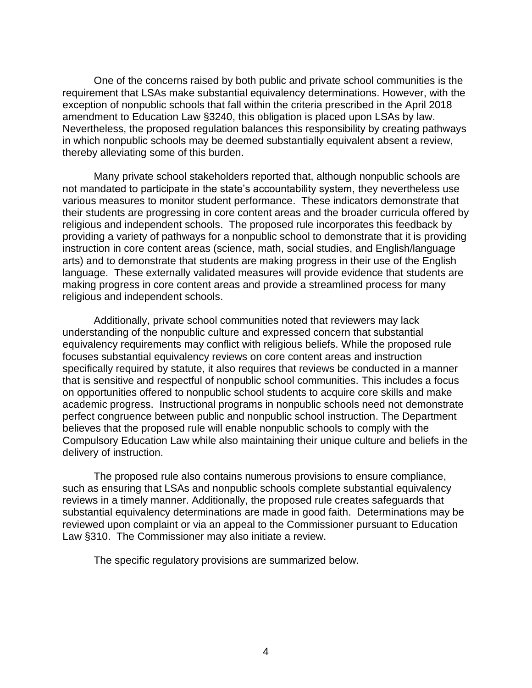One of the concerns raised by both public and private school communities is the requirement that LSAs make substantial equivalency determinations. However, with the exception of nonpublic schools that fall within the criteria prescribed in the April 2018 amendment to Education Law §3240, this obligation is placed upon LSAs by law. Nevertheless, the proposed regulation balances this responsibility by creating pathways in which nonpublic schools may be deemed substantially equivalent absent a review, thereby alleviating some of this burden.

Many private school stakeholders reported that, although nonpublic schools are not mandated to participate in the state's accountability system, they nevertheless use various measures to monitor student performance. These indicators demonstrate that their students are progressing in core content areas and the broader curricula offered by religious and independent schools. The proposed rule incorporates this feedback by providing a variety of pathways for a nonpublic school to demonstrate that it is providing instruction in core content areas (science, math, social studies, and English/language arts) and to demonstrate that students are making progress in their use of the English language. These externally validated measures will provide evidence that students are making progress in core content areas and provide a streamlined process for many religious and independent schools.

Additionally, private school communities noted that reviewers may lack understanding of the nonpublic culture and expressed concern that substantial equivalency requirements may conflict with religious beliefs. While the proposed rule focuses substantial equivalency reviews on core content areas and instruction specifically required by statute, it also requires that reviews be conducted in a manner that is sensitive and respectful of nonpublic school communities. This includes a focus on opportunities offered to nonpublic school students to acquire core skills and make academic progress. Instructional programs in nonpublic schools need not demonstrate perfect congruence between public and nonpublic school instruction. The Department believes that the proposed rule will enable nonpublic schools to comply with the Compulsory Education Law while also maintaining their unique culture and beliefs in the delivery of instruction.

The proposed rule also contains numerous provisions to ensure compliance, such as ensuring that LSAs and nonpublic schools complete substantial equivalency reviews in a timely manner. Additionally, the proposed rule creates safeguards that substantial equivalency determinations are made in good faith. Determinations may be reviewed upon complaint or via an appeal to the Commissioner pursuant to Education Law §310. The Commissioner may also initiate a review.

The specific regulatory provisions are summarized below.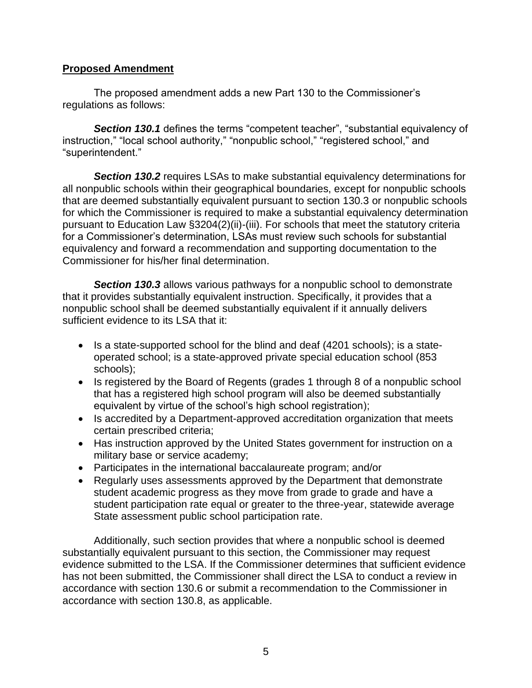### **Proposed Amendment**

The proposed amendment adds a new Part 130 to the Commissioner's regulations as follows:

**Section 130.1** defines the terms "competent teacher", "substantial equivalency of instruction," "local school authority," "nonpublic school," "registered school," and "superintendent."

**Section 130.2** requires LSAs to make substantial equivalency determinations for all nonpublic schools within their geographical boundaries, except for nonpublic schools that are deemed substantially equivalent pursuant to section 130.3 or nonpublic schools for which the Commissioner is required to make a substantial equivalency determination pursuant to Education Law §3204(2)(ii)-(iii). For schools that meet the statutory criteria for a Commissioner's determination, LSAs must review such schools for substantial equivalency and forward a recommendation and supporting documentation to the Commissioner for his/her final determination.

*Section 130.3* allows various pathways for a nonpublic school to demonstrate that it provides substantially equivalent instruction. Specifically, it provides that a nonpublic school shall be deemed substantially equivalent if it annually delivers sufficient evidence to its LSA that it:

- Is a state-supported school for the blind and deaf (4201 schools); is a stateoperated school; is a state-approved private special education school (853 schools);
- Is registered by the Board of Regents (grades 1 through 8 of a nonpublic school that has a registered high school program will also be deemed substantially equivalent by virtue of the school's high school registration);
- Is accredited by a Department-approved accreditation organization that meets certain prescribed criteria;
- Has instruction approved by the United States government for instruction on a military base or service academy;
- Participates in the international baccalaureate program; and/or
- Regularly uses assessments approved by the Department that demonstrate student academic progress as they move from grade to grade and have a student participation rate equal or greater to the three-year, statewide average State assessment public school participation rate.

Additionally, such section provides that where a nonpublic school is deemed substantially equivalent pursuant to this section, the Commissioner may request evidence submitted to the LSA. If the Commissioner determines that sufficient evidence has not been submitted, the Commissioner shall direct the LSA to conduct a review in accordance with section 130.6 or submit a recommendation to the Commissioner in accordance with section 130.8, as applicable.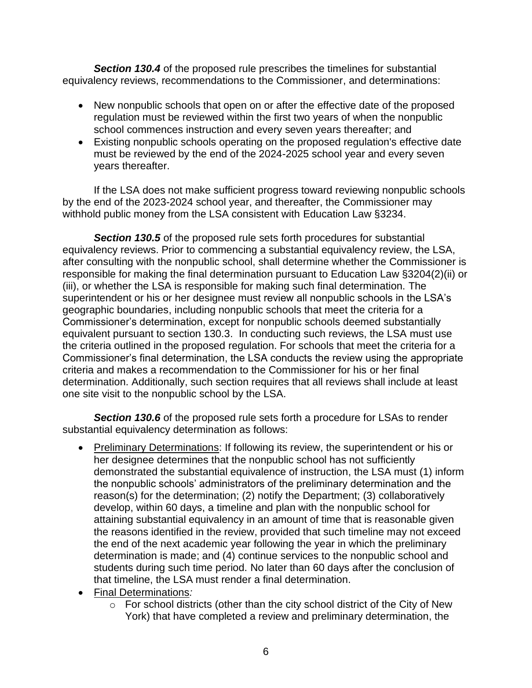*Section 130.4* of the proposed rule prescribes the timelines for substantial equivalency reviews, recommendations to the Commissioner, and determinations:

- New nonpublic schools that open on or after the effective date of the proposed regulation must be reviewed within the first two years of when the nonpublic school commences instruction and every seven years thereafter; and
- Existing nonpublic schools operating on the proposed regulation's effective date must be reviewed by the end of the 2024-2025 school year and every seven years thereafter.

If the LSA does not make sufficient progress toward reviewing nonpublic schools by the end of the 2023-2024 school year, and thereafter, the Commissioner may withhold public money from the LSA consistent with Education Law §3234.

**Section 130.5** of the proposed rule sets forth procedures for substantial equivalency reviews. Prior to commencing a substantial equivalency review, the LSA, after consulting with the nonpublic school, shall determine whether the Commissioner is responsible for making the final determination pursuant to Education Law §3204(2)(ii) or (iii), or whether the LSA is responsible for making such final determination. The superintendent or his or her designee must review all nonpublic schools in the LSA's geographic boundaries, including nonpublic schools that meet the criteria for a Commissioner's determination, except for nonpublic schools deemed substantially equivalent pursuant to section 130.3. In conducting such reviews, the LSA must use the criteria outlined in the proposed regulation. For schools that meet the criteria for a Commissioner's final determination, the LSA conducts the review using the appropriate criteria and makes a recommendation to the Commissioner for his or her final determination. Additionally, such section requires that all reviews shall include at least one site visit to the nonpublic school by the LSA.

**Section 130.6** of the proposed rule sets forth a procedure for LSAs to render substantial equivalency determination as follows:

- Preliminary Determinations: If following its review, the superintendent or his or her designee determines that the nonpublic school has not sufficiently demonstrated the substantial equivalence of instruction, the LSA must (1) inform the nonpublic schools' administrators of the preliminary determination and the reason(s) for the determination; (2) notify the Department; (3) collaboratively develop, within 60 days, a timeline and plan with the nonpublic school for attaining substantial equivalency in an amount of time that is reasonable given the reasons identified in the review, provided that such timeline may not exceed the end of the next academic year following the year in which the preliminary determination is made; and (4) continue services to the nonpublic school and students during such time period. No later than 60 days after the conclusion of that timeline, the LSA must render a final determination.
- Final Determinations*:* 
	- o For school districts (other than the city school district of the City of New York) that have completed a review and preliminary determination, the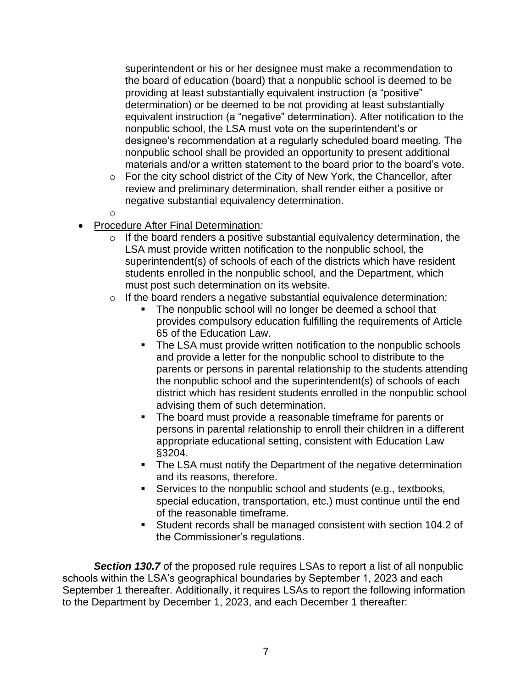superintendent or his or her designee must make a recommendation to the board of education (board) that a nonpublic school is deemed to be providing at least substantially equivalent instruction (a "positive" determination) or be deemed to be not providing at least substantially equivalent instruction (a "negative" determination). After notification to the nonpublic school, the LSA must vote on the superintendent's or designee's recommendation at a regularly scheduled board meeting. The nonpublic school shall be provided an opportunity to present additional materials and/or a written statement to the board prior to the board's vote.

- o For the city school district of the City of New York, the Chancellor, after review and preliminary determination, shall render either a positive or negative substantial equivalency determination.
- o
- Procedure After Final Determination*:* 
	- $\circ$  If the board renders a positive substantial equivalency determination, the LSA must provide written notification to the nonpublic school, the superintendent(s) of schools of each of the districts which have resident students enrolled in the nonpublic school, and the Department, which must post such determination on its website.
	- o If the board renders a negative substantial equivalence determination:
		- The nonpublic school will no longer be deemed a school that provides compulsory education fulfilling the requirements of Article 65 of the Education Law.
		- The LSA must provide written notification to the nonpublic schools and provide a letter for the nonpublic school to distribute to the parents or persons in parental relationship to the students attending the nonpublic school and the superintendent(s) of schools of each district which has resident students enrolled in the nonpublic school advising them of such determination.
		- **EXE** The board must provide a reasonable timeframe for parents or persons in parental relationship to enroll their children in a different appropriate educational setting, consistent with Education Law §3204.
		- The LSA must notify the Department of the negative determination and its reasons, therefore.
		- Services to the nonpublic school and students (e.g., textbooks, special education, transportation, etc.) must continue until the end of the reasonable timeframe.
		- Student records shall be managed consistent with section 104.2 of the Commissioner's regulations.

**Section 130.7** of the proposed rule requires LSAs to report a list of all nonpublic schools within the LSA's geographical boundaries by September 1, 2023 and each September 1 thereafter. Additionally, it requires LSAs to report the following information to the Department by December 1, 2023, and each December 1 thereafter: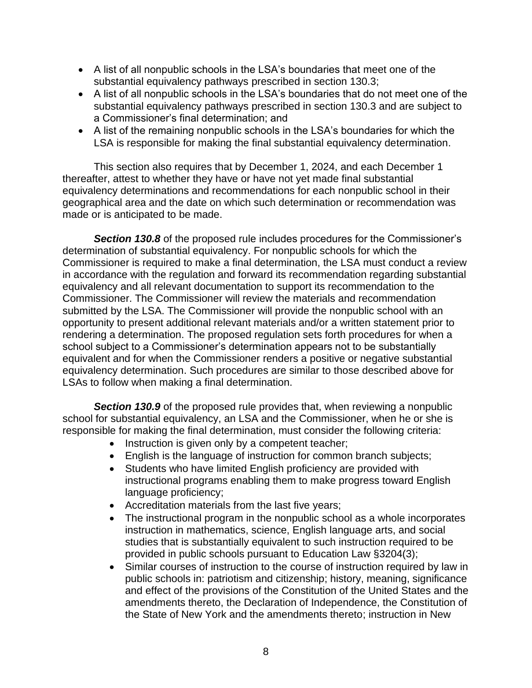- A list of all nonpublic schools in the LSA's boundaries that meet one of the substantial equivalency pathways prescribed in section 130.3;
- A list of all nonpublic schools in the LSA's boundaries that do not meet one of the substantial equivalency pathways prescribed in section 130.3 and are subject to a Commissioner's final determination; and
- A list of the remaining nonpublic schools in the LSA's boundaries for which the LSA is responsible for making the final substantial equivalency determination.

This section also requires that by December 1, 2024, and each December 1 thereafter, attest to whether they have or have not yet made final substantial equivalency determinations and recommendations for each nonpublic school in their geographical area and the date on which such determination or recommendation was made or is anticipated to be made.

*Section 130.8* of the proposed rule includes procedures for the Commissioner's determination of substantial equivalency. For nonpublic schools for which the Commissioner is required to make a final determination, the LSA must conduct a review in accordance with the regulation and forward its recommendation regarding substantial equivalency and all relevant documentation to support its recommendation to the Commissioner. The Commissioner will review the materials and recommendation submitted by the LSA. The Commissioner will provide the nonpublic school with an opportunity to present additional relevant materials and/or a written statement prior to rendering a determination. The proposed regulation sets forth procedures for when a school subject to a Commissioner's determination appears not to be substantially equivalent and for when the Commissioner renders a positive or negative substantial equivalency determination. Such procedures are similar to those described above for LSAs to follow when making a final determination.

**Section 130.9** of the proposed rule provides that, when reviewing a nonpublic school for substantial equivalency, an LSA and the Commissioner, when he or she is responsible for making the final determination, must consider the following criteria:

- Instruction is given only by a competent teacher;
- English is the language of instruction for common branch subjects;
- Students who have limited English proficiency are provided with instructional programs enabling them to make progress toward English language proficiency;
- Accreditation materials from the last five years;
- The instructional program in the nonpublic school as a whole incorporates instruction in mathematics, science, English language arts, and social studies that is substantially equivalent to such instruction required to be provided in public schools pursuant to Education Law §3204(3);
- Similar courses of instruction to the course of instruction required by law in public schools in: patriotism and citizenship; history, meaning, significance and effect of the provisions of the Constitution of the United States and the amendments thereto, the Declaration of Independence, the Constitution of the State of New York and the amendments thereto; instruction in New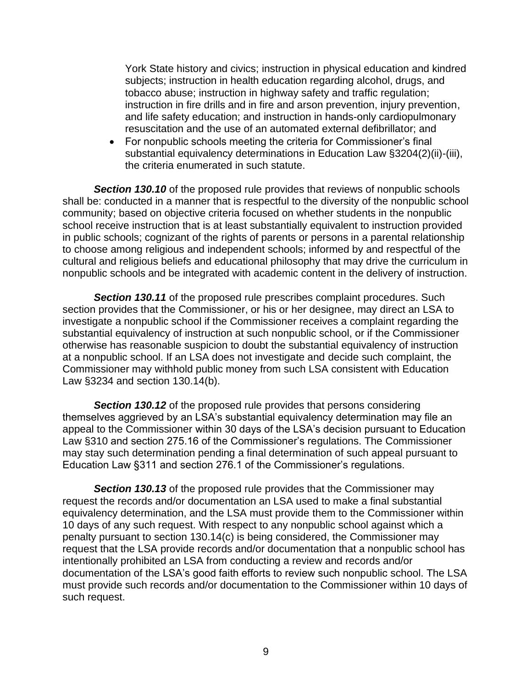York State history and civics; instruction in physical education and kindred subjects; instruction in health education regarding alcohol, drugs, and tobacco abuse; instruction in highway safety and traffic regulation; instruction in fire drills and in fire and arson prevention, injury prevention, and life safety education; and instruction in hands-only cardiopulmonary resuscitation and the use of an automated external defibrillator; and

• For nonpublic schools meeting the criteria for Commissioner's final substantial equivalency determinations in Education Law §3204(2)(ii)-(iii), the criteria enumerated in such statute.

**Section 130.10** of the proposed rule provides that reviews of nonpublic schools shall be: conducted in a manner that is respectful to the diversity of the nonpublic school community; based on objective criteria focused on whether students in the nonpublic school receive instruction that is at least substantially equivalent to instruction provided in public schools; cognizant of the rights of parents or persons in a parental relationship to choose among religious and independent schools; informed by and respectful of the cultural and religious beliefs and educational philosophy that may drive the curriculum in nonpublic schools and be integrated with academic content in the delivery of instruction.

**Section 130.11** of the proposed rule prescribes complaint procedures. Such section provides that the Commissioner, or his or her designee, may direct an LSA to investigate a nonpublic school if the Commissioner receives a complaint regarding the substantial equivalency of instruction at such nonpublic school, or if the Commissioner otherwise has reasonable suspicion to doubt the substantial equivalency of instruction at a nonpublic school. If an LSA does not investigate and decide such complaint, the Commissioner may withhold public money from such LSA consistent with Education Law §3234 and section 130.14(b).

**Section 130.12** of the proposed rule provides that persons considering themselves aggrieved by an LSA's substantial equivalency determination may file an appeal to the Commissioner within 30 days of the LSA's decision pursuant to Education Law §310 and section 275.16 of the Commissioner's regulations. The Commissioner may stay such determination pending a final determination of such appeal pursuant to Education Law §311 and section 276.1 of the Commissioner's regulations.

*Section 130.13* of the proposed rule provides that the Commissioner may request the records and/or documentation an LSA used to make a final substantial equivalency determination, and the LSA must provide them to the Commissioner within 10 days of any such request. With respect to any nonpublic school against which a penalty pursuant to section 130.14(c) is being considered, the Commissioner may request that the LSA provide records and/or documentation that a nonpublic school has intentionally prohibited an LSA from conducting a review and records and/or documentation of the LSA's good faith efforts to review such nonpublic school. The LSA must provide such records and/or documentation to the Commissioner within 10 days of such request.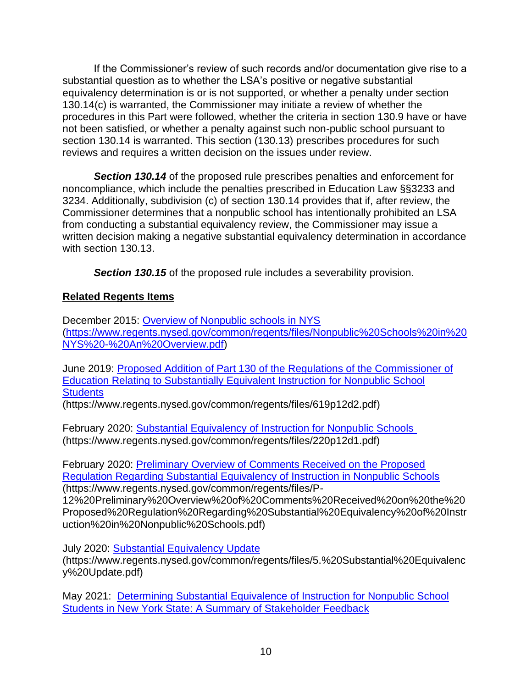If the Commissioner's review of such records and/or documentation give rise to a substantial question as to whether the LSA's positive or negative substantial equivalency determination is or is not supported, or whether a penalty under section 130.14(c) is warranted, the Commissioner may initiate a review of whether the procedures in this Part were followed, whether the criteria in section 130.9 have or have not been satisfied, or whether a penalty against such non-public school pursuant to section 130.14 is warranted. This section (130.13) prescribes procedures for such reviews and requires a written decision on the issues under review.

*Section 130.14* of the proposed rule prescribes penalties and enforcement for noncompliance, which include the penalties prescribed in Education Law §§3233 and 3234. Additionally, subdivision (c) of section 130.14 provides that if, after review, the Commissioner determines that a nonpublic school has intentionally prohibited an LSA from conducting a substantial equivalency review, the Commissioner may issue a written decision making a negative substantial equivalency determination in accordance with section 130.13.

**Section 130.15** of the proposed rule includes a severability provision.

## **Related Regents Items**

December 2015: [Overview of Nonpublic schools in NYS](https://www.regents.nysed.gov/common/regents/files/Nonpublic%20Schools%20in%20NYS%20-%20An%20Overview.pdf) [\(https://www.regents.nysed.gov/common/regents/files/Nonpublic%20Schools%20in%20](https://www.regents.nysed.gov/common/regents/files/Nonpublic%20Schools%20in%20NYS%20-%20An%20Overview.pdf) [NYS%20-%20An%20Overview.pdf\)](https://www.regents.nysed.gov/common/regents/files/Nonpublic%20Schools%20in%20NYS%20-%20An%20Overview.pdf)

June 2019: [Proposed Addition of Part 130 of the Regulations of the Commissioner of](https://www.regents.nysed.gov/common/regents/files/619p12d2.pdf)  [Education Relating to Substantially Equivalent Instruction for Nonpublic School](https://www.regents.nysed.gov/common/regents/files/619p12d2.pdf)  **[Students](https://www.regents.nysed.gov/common/regents/files/619p12d2.pdf)** 

(https://www.regents.nysed.gov/common/regents/files/619p12d2.pdf)

February 2020: [Substantial Equivalency of Instruction for Nonpublic Schools](https://www.regents.nysed.gov/common/regents/files/220p12d1.pdf) (https://www.regents.nysed.gov/common/regents/files/220p12d1.pdf)

February 2020: [Preliminary Overview of Comments Received on the Proposed](https://www.regents.nysed.gov/common/regents/files/P-12%20Preliminary%20Overview%20of%20Comments%20Received%20on%20the%20Proposed%20Regulation%20Regarding%20Substantial%20Equivalency%20of%20Instruction%20in%20Nonpublic%20Schools.pdf)  [Regulation Regarding Substantial Equivalency of Instruction in Nonpublic Schools](https://www.regents.nysed.gov/common/regents/files/P-12%20Preliminary%20Overview%20of%20Comments%20Received%20on%20the%20Proposed%20Regulation%20Regarding%20Substantial%20Equivalency%20of%20Instruction%20in%20Nonpublic%20Schools.pdf) (https://www.regents.nysed.gov/common/regents/files/P-

12%20Preliminary%20Overview%20of%20Comments%20Received%20on%20the%20 Proposed%20Regulation%20Regarding%20Substantial%20Equivalency%20of%20Instr uction%20in%20Nonpublic%20Schools.pdf)

July 2020: [Substantial Equivalency Update](https://www.regents.nysed.gov/common/regents/files/5.%20Substantial%20Equivalency%20Update.pdf)

(https://www.regents.nysed.gov/common/regents/files/5.%20Substantial%20Equivalenc y%20Update.pdf)

May 2021: [Determining Substantial Equivalence of Instruction for Nonpublic School](https://www.regents.nysed.gov/common/regents/files/DRAFT%20SE%20Stakeholder%20Input%20Report%20Slides%205-6-21%20FINAL.pdf)  [Students in New York State: A Summary of Stakeholder Feedback](https://www.regents.nysed.gov/common/regents/files/DRAFT%20SE%20Stakeholder%20Input%20Report%20Slides%205-6-21%20FINAL.pdf)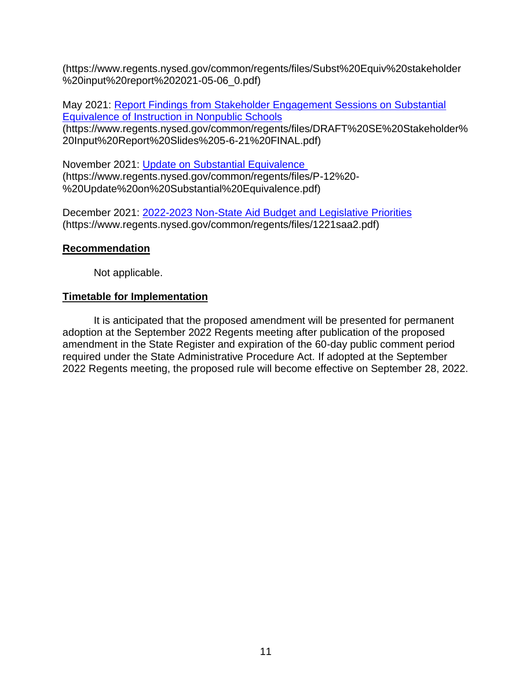(https://www.regents.nysed.gov/common/regents/files/Subst%20Equiv%20stakeholder %20input%20report%202021-05-06\_0.pdf)

May 2021: [Report Findings from Stakeholder Engagement Sessions on Substantial](file:///C:/Users/wbraunli/AppData/Local/Microsoft/Windows/INetCache/Content.Outlook/3S9ZE6KR/Report%20Findings%20from%20Stakeholder%20Engagement%20Sessions%20on%20Substantial%20Equivalence%20of%20Instruction%20in%20Nonpublic%20Schools)  [Equivalence of Instruction in](file:///C:/Users/wbraunli/AppData/Local/Microsoft/Windows/INetCache/Content.Outlook/3S9ZE6KR/Report%20Findings%20from%20Stakeholder%20Engagement%20Sessions%20on%20Substantial%20Equivalence%20of%20Instruction%20in%20Nonpublic%20Schools) Nonpublic Schools

(https://www.regents.nysed.gov/common/regents/files/DRAFT%20SE%20Stakeholder% 20Input%20Report%20Slides%205-6-21%20FINAL.pdf)

November 2021: [Update on Substantial Equivalence](https://www.regents.nysed.gov/common/regents/files/P-12%20-%20Update%20on%20Substantial%20Equivalence.pdf) (https://www.regents.nysed.gov/common/regents/files/P-12%20- %20Update%20on%20Substantial%20Equivalence.pdf)

December 2021: [2022-2023 Non-State Aid Budget and Legislative Priorities](https://www.regents.nysed.gov/common/regents/files/1221saa2.pdf) (https://www.regents.nysed.gov/common/regents/files/1221saa2.pdf)

## **Recommendation**

Not applicable.

# **Timetable for Implementation**

It is anticipated that the proposed amendment will be presented for permanent adoption at the September 2022 Regents meeting after publication of the proposed amendment in the State Register and expiration of the 60-day public comment period required under the State Administrative Procedure Act. If adopted at the September 2022 Regents meeting, the proposed rule will become effective on September 28, 2022.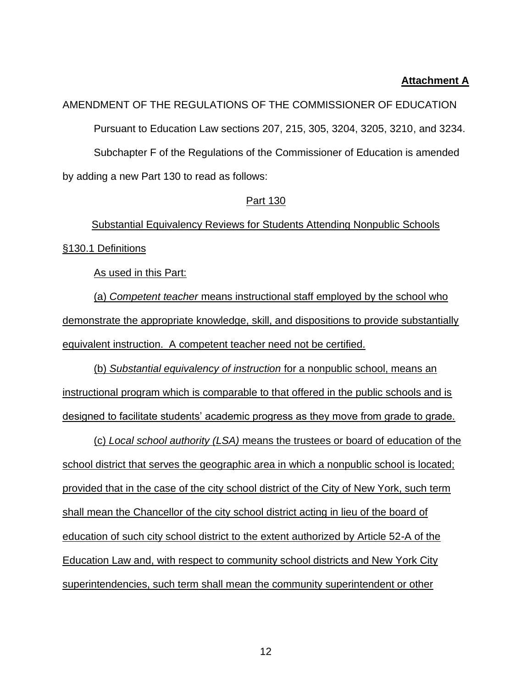### **Attachment A**

AMENDMENT OF THE REGULATIONS OF THE COMMISSIONER OF EDUCATION Pursuant to Education Law sections 207, 215, 305, 3204, 3205, 3210, and 3234. Subchapter F of the Regulations of the Commissioner of Education is amended by adding a new Part 130 to read as follows:

### Part 130

Substantial Equivalency Reviews for Students Attending Nonpublic Schools §130.1 Definitions

As used in this Part:

(a) *Competent teacher* means instructional staff employed by the school who demonstrate the appropriate knowledge, skill, and dispositions to provide substantially equivalent instruction. A competent teacher need not be certified.

(b) *Substantial equivalency of instruction* for a nonpublic school, means an instructional program which is comparable to that offered in the public schools and is designed to facilitate students' academic progress as they move from grade to grade.

(c) *Local school authority (LSA)* means the trustees or board of education of the school district that serves the geographic area in which a nonpublic school is located; provided that in the case of the city school district of the City of New York, such term shall mean the Chancellor of the city school district acting in lieu of the board of education of such city school district to the extent authorized by Article 52-A of the Education Law and, with respect to community school districts and New York City superintendencies, such term shall mean the community superintendent or other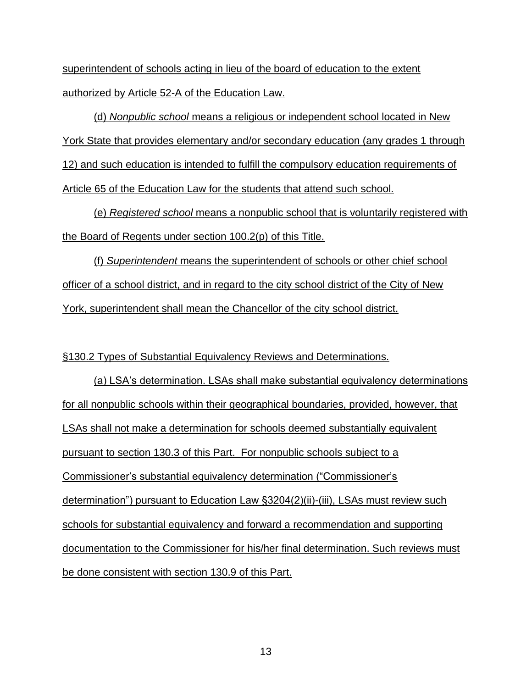superintendent of schools acting in lieu of the board of education to the extent authorized by Article 52-A of the Education Law.

(d) *Nonpublic school* means a religious or independent school located in New York State that provides elementary and/or secondary education (any grades 1 through 12) and such education is intended to fulfill the compulsory education requirements of Article 65 of the Education Law for the students that attend such school.

(e) *Registered school* means a nonpublic school that is voluntarily registered with the Board of Regents under section 100.2(p) of this Title.

(f) *Superintendent* means the superintendent of schools or other chief school officer of a school district, and in regard to the city school district of the City of New York, superintendent shall mean the Chancellor of the city school district.

§130.2 Types of Substantial Equivalency Reviews and Determinations.

(a) LSA's determination. LSAs shall make substantial equivalency determinations for all nonpublic schools within their geographical boundaries, provided, however, that LSAs shall not make a determination for schools deemed substantially equivalent pursuant to section 130.3 of this Part. For nonpublic schools subject to a Commissioner's substantial equivalency determination ("Commissioner's determination") pursuant to Education Law §3204(2)(ii)-(iii), LSAs must review such schools for substantial equivalency and forward a recommendation and supporting documentation to the Commissioner for his/her final determination. Such reviews must be done consistent with section 130.9 of this Part.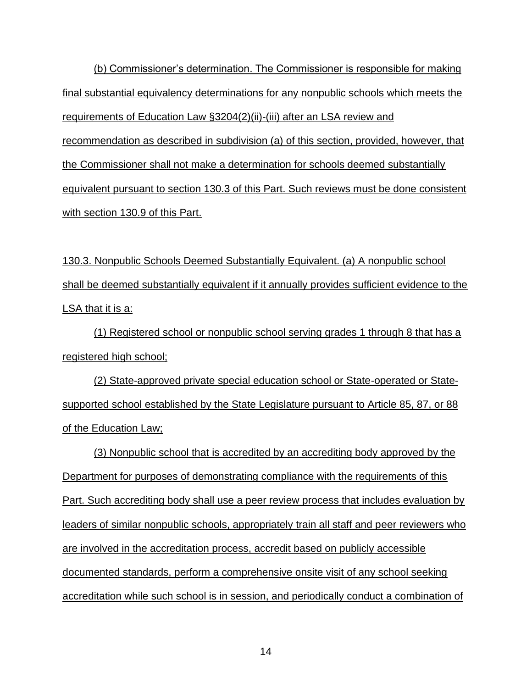(b) Commissioner's determination. The Commissioner is responsible for making final substantial equivalency determinations for any nonpublic schools which meets the requirements of Education Law §3204(2)(ii)-(iii) after an LSA review and recommendation as described in subdivision (a) of this section, provided, however, that the Commissioner shall not make a determination for schools deemed substantially equivalent pursuant to section 130.3 of this Part. Such reviews must be done consistent with section 130.9 of this Part.

130.3. Nonpublic Schools Deemed Substantially Equivalent. (a) A nonpublic school shall be deemed substantially equivalent if it annually provides sufficient evidence to the LSA that it is a:

(1) Registered school or nonpublic school serving grades 1 through 8 that has a registered high school;

(2) State-approved private special education school or State-operated or Statesupported school established by the State Legislature pursuant to Article 85, 87, or 88 of the Education Law;

(3) Nonpublic school that is accredited by an accrediting body approved by the Department for purposes of demonstrating compliance with the requirements of this Part. Such accrediting body shall use a peer review process that includes evaluation by leaders of similar nonpublic schools, appropriately train all staff and peer reviewers who are involved in the accreditation process, accredit based on publicly accessible documented standards, perform a comprehensive onsite visit of any school seeking accreditation while such school is in session, and periodically conduct a combination of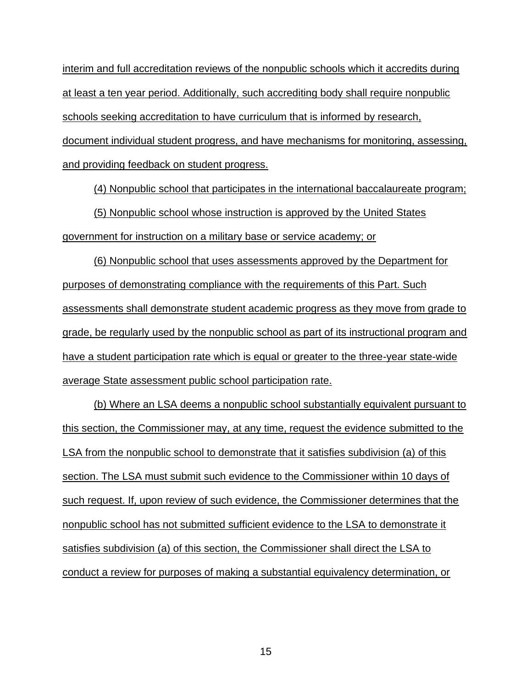interim and full accreditation reviews of the nonpublic schools which it accredits during at least a ten year period. Additionally, such accrediting body shall require nonpublic schools seeking accreditation to have curriculum that is informed by research, document individual student progress, and have mechanisms for monitoring, assessing, and providing feedback on student progress.

(4) Nonpublic school that participates in the international baccalaureate program; (5) Nonpublic school whose instruction is approved by the United States government for instruction on a military base or service academy; or

(6) Nonpublic school that uses assessments approved by the Department for purposes of demonstrating compliance with the requirements of this Part. Such assessments shall demonstrate student academic progress as they move from grade to grade, be regularly used by the nonpublic school as part of its instructional program and have a student participation rate which is equal or greater to the three-year state-wide average State assessment public school participation rate.

(b) Where an LSA deems a nonpublic school substantially equivalent pursuant to this section, the Commissioner may, at any time, request the evidence submitted to the LSA from the nonpublic school to demonstrate that it satisfies subdivision (a) of this section. The LSA must submit such evidence to the Commissioner within 10 days of such request. If, upon review of such evidence, the Commissioner determines that the nonpublic school has not submitted sufficient evidence to the LSA to demonstrate it satisfies subdivision (a) of this section, the Commissioner shall direct the LSA to conduct a review for purposes of making a substantial equivalency determination, or

15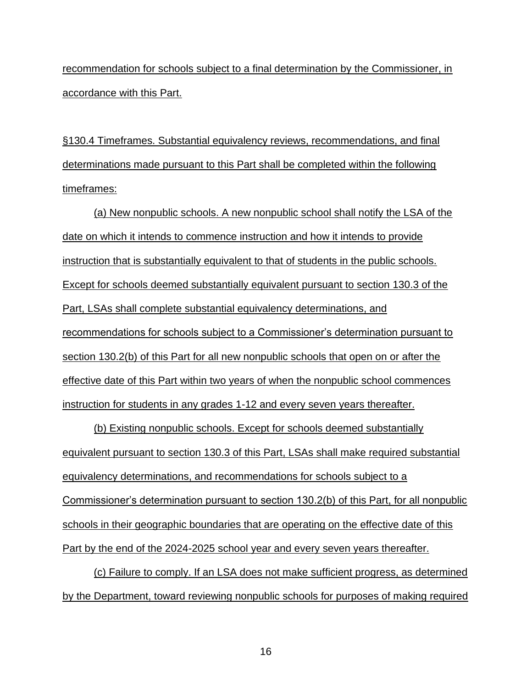recommendation for schools subject to a final determination by the Commissioner, in accordance with this Part.

§130.4 Timeframes. Substantial equivalency reviews, recommendations, and final determinations made pursuant to this Part shall be completed within the following timeframes:

(a) New nonpublic schools. A new nonpublic school shall notify the LSA of the date on which it intends to commence instruction and how it intends to provide instruction that is substantially equivalent to that of students in the public schools. Except for schools deemed substantially equivalent pursuant to section 130.3 of the Part, LSAs shall complete substantial equivalency determinations, and recommendations for schools subject to a Commissioner's determination pursuant to section 130.2(b) of this Part for all new nonpublic schools that open on or after the effective date of this Part within two years of when the nonpublic school commences instruction for students in any grades 1-12 and every seven years thereafter.

(b) Existing nonpublic schools. Except for schools deemed substantially equivalent pursuant to section 130.3 of this Part, LSAs shall make required substantial equivalency determinations, and recommendations for schools subject to a Commissioner's determination pursuant to section 130.2(b) of this Part, for all nonpublic schools in their geographic boundaries that are operating on the effective date of this Part by the end of the 2024-2025 school year and every seven years thereafter.

(c) Failure to comply. If an LSA does not make sufficient progress, as determined by the Department, toward reviewing nonpublic schools for purposes of making required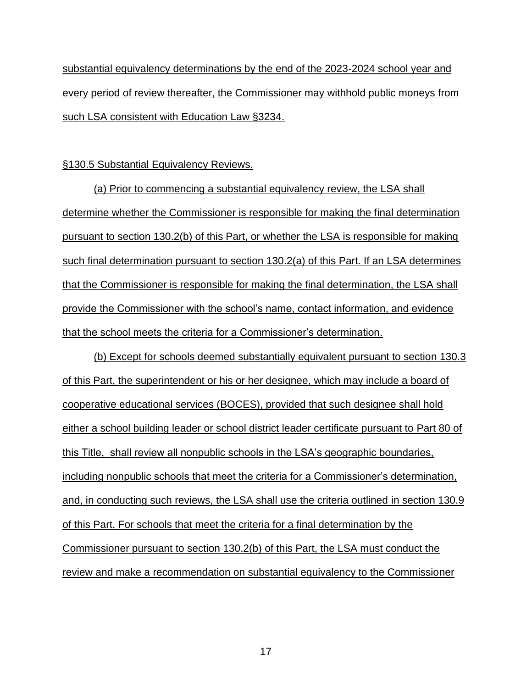substantial equivalency determinations by the end of the 2023-2024 school year and every period of review thereafter, the Commissioner may withhold public moneys from such LSA consistent with Education Law §3234.

### §130.5 Substantial Equivalency Reviews.

(a) Prior to commencing a substantial equivalency review, the LSA shall determine whether the Commissioner is responsible for making the final determination pursuant to section 130.2(b) of this Part, or whether the LSA is responsible for making such final determination pursuant to section 130.2(a) of this Part. If an LSA determines that the Commissioner is responsible for making the final determination, the LSA shall provide the Commissioner with the school's name, contact information, and evidence that the school meets the criteria for a Commissioner's determination.

(b) Except for schools deemed substantially equivalent pursuant to section 130.3 of this Part, the superintendent or his or her designee, which may include a board of cooperative educational services (BOCES), provided that such designee shall hold either a school building leader or school district leader certificate pursuant to Part 80 of this Title, shall review all nonpublic schools in the LSA's geographic boundaries, including nonpublic schools that meet the criteria for a Commissioner's determination, and, in conducting such reviews, the LSA shall use the criteria outlined in section 130.9 of this Part. For schools that meet the criteria for a final determination by the Commissioner pursuant to section 130.2(b) of this Part, the LSA must conduct the review and make a recommendation on substantial equivalency to the Commissioner

17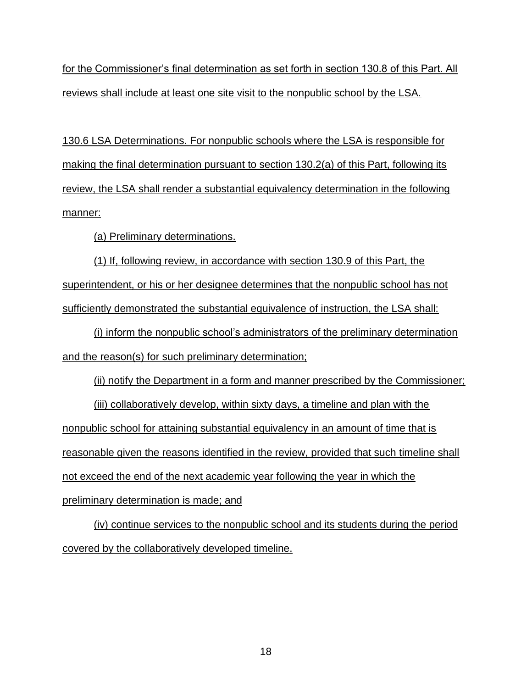for the Commissioner's final determination as set forth in section 130.8 of this Part. All reviews shall include at least one site visit to the nonpublic school by the LSA.

130.6 LSA Determinations. For nonpublic schools where the LSA is responsible for making the final determination pursuant to section 130.2(a) of this Part, following its review, the LSA shall render a substantial equivalency determination in the following manner:

(a) Preliminary determinations.

(1) If, following review, in accordance with section 130.9 of this Part, the superintendent, or his or her designee determines that the nonpublic school has not sufficiently demonstrated the substantial equivalence of instruction, the LSA shall:

(i) inform the nonpublic school's administrators of the preliminary determination and the reason(s) for such preliminary determination;

(ii) notify the Department in a form and manner prescribed by the Commissioner;

(iii) collaboratively develop, within sixty days, a timeline and plan with the nonpublic school for attaining substantial equivalency in an amount of time that is reasonable given the reasons identified in the review, provided that such timeline shall not exceed the end of the next academic year following the year in which the preliminary determination is made; and

(iv) continue services to the nonpublic school and its students during the period covered by the collaboratively developed timeline.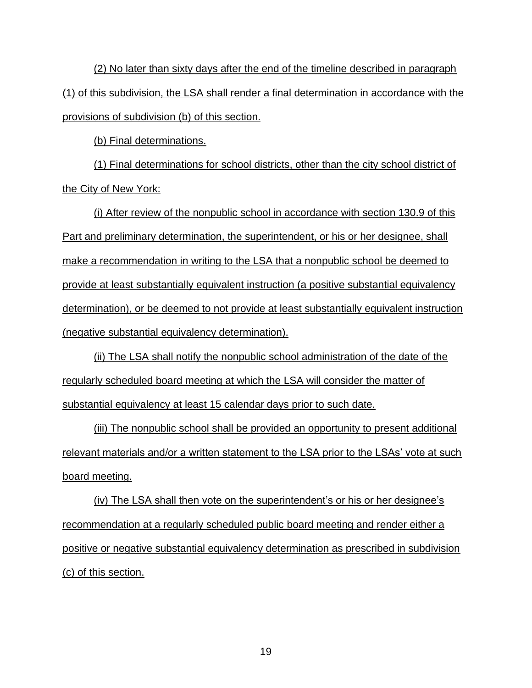(2) No later than sixty days after the end of the timeline described in paragraph (1) of this subdivision, the LSA shall render a final determination in accordance with the provisions of subdivision (b) of this section.

(b) Final determinations.

(1) Final determinations for school districts, other than the city school district of the City of New York:

(i) After review of the nonpublic school in accordance with section 130.9 of this Part and preliminary determination, the superintendent, or his or her designee, shall make a recommendation in writing to the LSA that a nonpublic school be deemed to provide at least substantially equivalent instruction (a positive substantial equivalency determination), or be deemed to not provide at least substantially equivalent instruction (negative substantial equivalency determination).

(ii) The LSA shall notify the nonpublic school administration of the date of the regularly scheduled board meeting at which the LSA will consider the matter of substantial equivalency at least 15 calendar days prior to such date.

(iii) The nonpublic school shall be provided an opportunity to present additional relevant materials and/or a written statement to the LSA prior to the LSAs' vote at such board meeting.

(iv) The LSA shall then vote on the superintendent's or his or her designee's recommendation at a regularly scheduled public board meeting and render either a positive or negative substantial equivalency determination as prescribed in subdivision (c) of this section.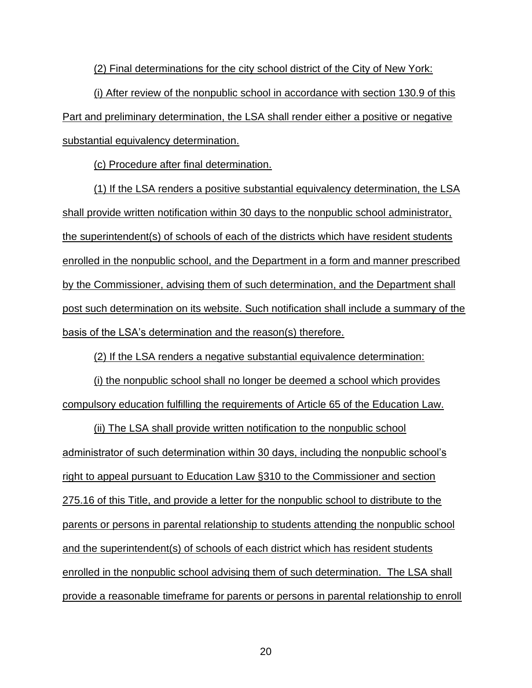(2) Final determinations for the city school district of the City of New York:

(i) After review of the nonpublic school in accordance with section 130.9 of this Part and preliminary determination, the LSA shall render either a positive or negative substantial equivalency determination.

(c) Procedure after final determination.

(1) If the LSA renders a positive substantial equivalency determination, the LSA shall provide written notification within 30 days to the nonpublic school administrator, the superintendent(s) of schools of each of the districts which have resident students enrolled in the nonpublic school, and the Department in a form and manner prescribed by the Commissioner, advising them of such determination, and the Department shall post such determination on its website. Such notification shall include a summary of the basis of the LSA's determination and the reason(s) therefore.

(2) If the LSA renders a negative substantial equivalence determination:

(i) the nonpublic school shall no longer be deemed a school which provides compulsory education fulfilling the requirements of Article 65 of the Education Law.

(ii) The LSA shall provide written notification to the nonpublic school administrator of such determination within 30 days, including the nonpublic school's right to appeal pursuant to Education Law §310 to the Commissioner and section 275.16 of this Title, and provide a letter for the nonpublic school to distribute to the parents or persons in parental relationship to students attending the nonpublic school and the superintendent(s) of schools of each district which has resident students enrolled in the nonpublic school advising them of such determination. The LSA shall provide a reasonable timeframe for parents or persons in parental relationship to enroll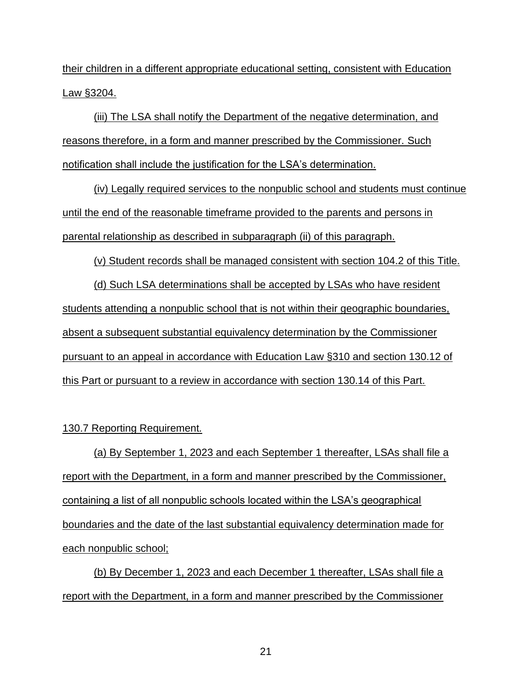their children in a different appropriate educational setting, consistent with Education Law §3204.

(iii) The LSA shall notify the Department of the negative determination, and reasons therefore, in a form and manner prescribed by the Commissioner. Such notification shall include the justification for the LSA's determination.

(iv) Legally required services to the nonpublic school and students must continue until the end of the reasonable timeframe provided to the parents and persons in parental relationship as described in subparagraph (ii) of this paragraph.

(v) Student records shall be managed consistent with section 104.2 of this Title.

(d) Such LSA determinations shall be accepted by LSAs who have resident students attending a nonpublic school that is not within their geographic boundaries, absent a subsequent substantial equivalency determination by the Commissioner pursuant to an appeal in accordance with Education Law §310 and section 130.12 of this Part or pursuant to a review in accordance with section 130.14 of this Part.

### 130.7 Reporting Requirement*.*

(a) By September 1, 2023 and each September 1 thereafter, LSAs shall file a report with the Department, in a form and manner prescribed by the Commissioner, containing a list of all nonpublic schools located within the LSA's geographical boundaries and the date of the last substantial equivalency determination made for each nonpublic school;

(b) By December 1, 2023 and each December 1 thereafter, LSAs shall file a report with the Department, in a form and manner prescribed by the Commissioner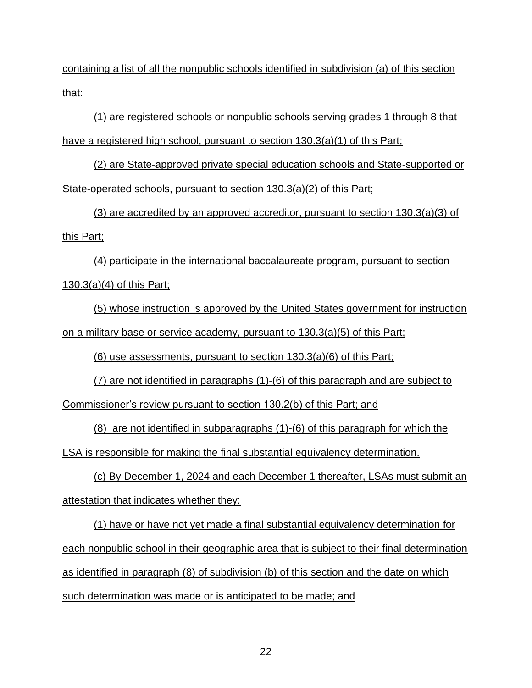containing a list of all the nonpublic schools identified in subdivision (a) of this section that:

(1) are registered schools or nonpublic schools serving grades 1 through 8 that have a registered high school, pursuant to section 130.3(a)(1) of this Part;

(2) are State-approved private special education schools and State-supported or State-operated schools, pursuant to section 130.3(a)(2) of this Part;

(3) are accredited by an approved accreditor, pursuant to section 130.3(a)(3) of this Part;

(4) participate in the international baccalaureate program, pursuant to section 130.3(a)(4) of this Part;

(5) whose instruction is approved by the United States government for instruction on a military base or service academy, pursuant to 130.3(a)(5) of this Part;

(6) use assessments, pursuant to section 130.3(a)(6) of this Part;

(7) are not identified in paragraphs (1)-(6) of this paragraph and are subject to Commissioner's review pursuant to section 130.2(b) of this Part; and

(8) are not identified in subparagraphs (1)-(6) of this paragraph for which the LSA is responsible for making the final substantial equivalency determination.

(c) By December 1, 2024 and each December 1 thereafter, LSAs must submit an

attestation that indicates whether they:

(1) have or have not yet made a final substantial equivalency determination for each nonpublic school in their geographic area that is subject to their final determination as identified in paragraph (8) of subdivision (b) of this section and the date on which such determination was made or is anticipated to be made; and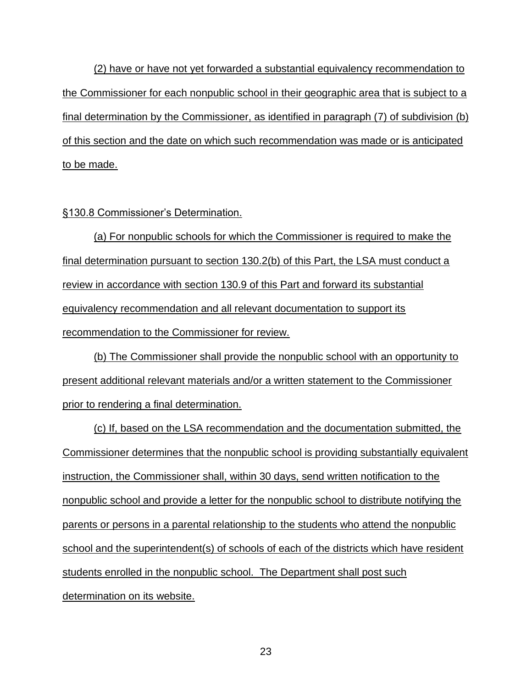(2) have or have not yet forwarded a substantial equivalency recommendation to the Commissioner for each nonpublic school in their geographic area that is subject to a final determination by the Commissioner, as identified in paragraph (7) of subdivision (b) of this section and the date on which such recommendation was made or is anticipated to be made.

### §130.8 Commissioner's Determination.

(a) For nonpublic schools for which the Commissioner is required to make the final determination pursuant to section 130.2(b) of this Part, the LSA must conduct a review in accordance with section 130.9 of this Part and forward its substantial equivalency recommendation and all relevant documentation to support its recommendation to the Commissioner for review.

(b) The Commissioner shall provide the nonpublic school with an opportunity to present additional relevant materials and/or a written statement to the Commissioner prior to rendering a final determination.

(c) If, based on the LSA recommendation and the documentation submitted, the Commissioner determines that the nonpublic school is providing substantially equivalent instruction, the Commissioner shall, within 30 days, send written notification to the nonpublic school and provide a letter for the nonpublic school to distribute notifying the parents or persons in a parental relationship to the students who attend the nonpublic school and the superintendent(s) of schools of each of the districts which have resident students enrolled in the nonpublic school. The Department shall post such determination on its website.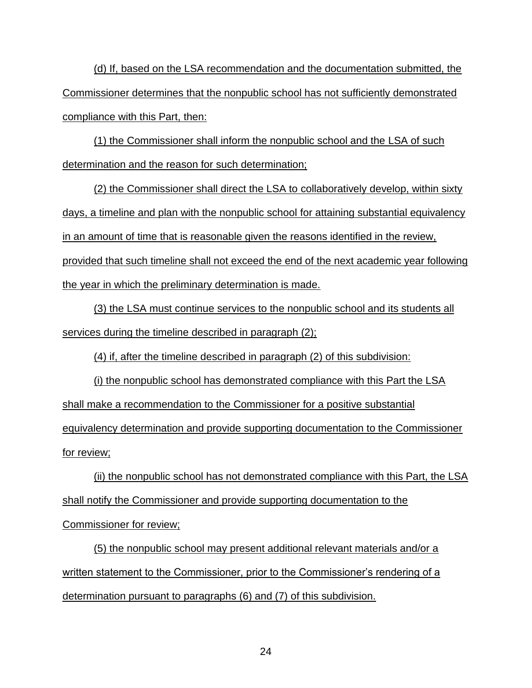(d) If, based on the LSA recommendation and the documentation submitted, the Commissioner determines that the nonpublic school has not sufficiently demonstrated compliance with this Part, then:

(1) the Commissioner shall inform the nonpublic school and the LSA of such determination and the reason for such determination;

(2) the Commissioner shall direct the LSA to collaboratively develop, within sixty days, a timeline and plan with the nonpublic school for attaining substantial equivalency in an amount of time that is reasonable given the reasons identified in the review, provided that such timeline shall not exceed the end of the next academic year following the year in which the preliminary determination is made.

(3) the LSA must continue services to the nonpublic school and its students all services during the timeline described in paragraph (2);

(4) if, after the timeline described in paragraph (2) of this subdivision:

(i) the nonpublic school has demonstrated compliance with this Part the LSA shall make a recommendation to the Commissioner for a positive substantial equivalency determination and provide supporting documentation to the Commissioner for review;

(ii) the nonpublic school has not demonstrated compliance with this Part, the LSA shall notify the Commissioner and provide supporting documentation to the Commissioner for review;

(5) the nonpublic school may present additional relevant materials and/or a written statement to the Commissioner, prior to the Commissioner's rendering of a determination pursuant to paragraphs (6) and (7) of this subdivision.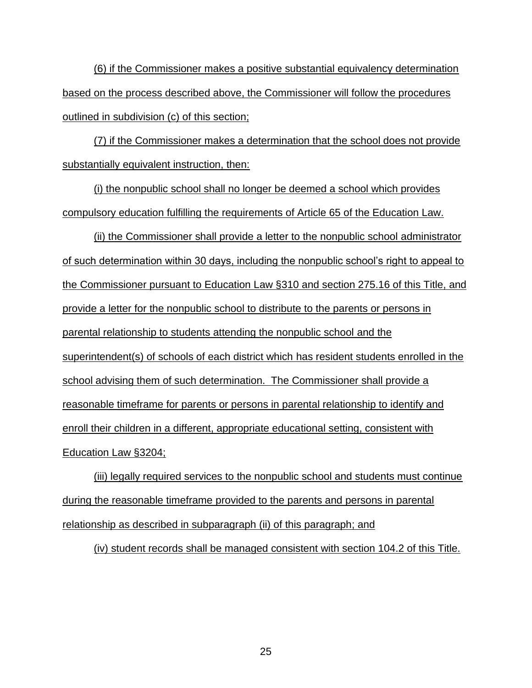(6) if the Commissioner makes a positive substantial equivalency determination based on the process described above, the Commissioner will follow the procedures outlined in subdivision (c) of this section;

(7) if the Commissioner makes a determination that the school does not provide substantially equivalent instruction, then:

(i) the nonpublic school shall no longer be deemed a school which provides compulsory education fulfilling the requirements of Article 65 of the Education Law.

(ii) the Commissioner shall provide a letter to the nonpublic school administrator of such determination within 30 days, including the nonpublic school's right to appeal to the Commissioner pursuant to Education Law §310 and section 275.16 of this Title, and provide a letter for the nonpublic school to distribute to the parents or persons in parental relationship to students attending the nonpublic school and the superintendent(s) of schools of each district which has resident students enrolled in the school advising them of such determination. The Commissioner shall provide a reasonable timeframe for parents or persons in parental relationship to identify and enroll their children in a different, appropriate educational setting, consistent with Education Law §3204;

(iii) legally required services to the nonpublic school and students must continue during the reasonable timeframe provided to the parents and persons in parental relationship as described in subparagraph (ii) of this paragraph; and

(iv) student records shall be managed consistent with section 104.2 of this Title.

25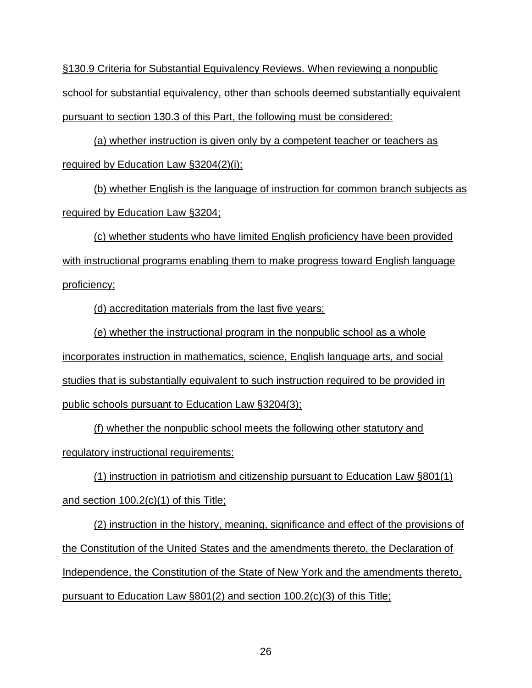§130.9 Criteria for Substantial Equivalency Reviews. When reviewing a nonpublic school for substantial equivalency, other than schools deemed substantially equivalent pursuant to section 130.3 of this Part, the following must be considered:

(a) whether instruction is given only by a competent teacher or teachers as required by Education Law §3204(2)(i);

(b) whether English is the language of instruction for common branch subjects as required by Education Law §3204;

(c) whether students who have limited English proficiency have been provided with instructional programs enabling them to make progress toward English language proficiency;

(d) accreditation materials from the last five years;

(e) whether the instructional program in the nonpublic school as a whole incorporates instruction in mathematics, science, English language arts, and social studies that is substantially equivalent to such instruction required to be provided in public schools pursuant to Education Law §3204(3);

(f) whether the nonpublic school meets the following other statutory and regulatory instructional requirements:

(1) instruction in patriotism and citizenship pursuant to Education Law §801(1) and section 100.2(c)(1) of this Title;

(2) instruction in the history, meaning, significance and effect of the provisions of the Constitution of the United States and the amendments thereto, the Declaration of Independence, the Constitution of the State of New York and the amendments thereto, pursuant to Education Law §801(2) and section 100.2(c)(3) of this Title;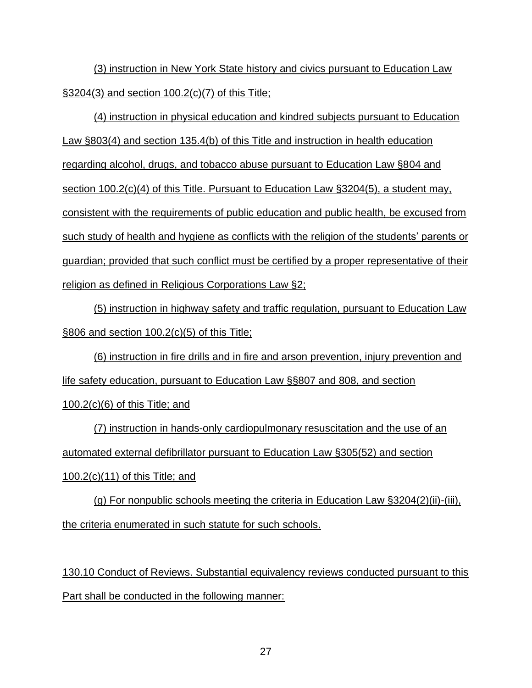(3) instruction in New York State history and civics pursuant to Education Law §3204(3) and section 100.2(c)(7) of this Title;

(4) instruction in physical education and kindred subjects pursuant to Education Law §803(4) and section 135.4(b) of this Title and instruction in health education regarding alcohol, drugs, and tobacco abuse pursuant to Education Law §804 and section 100.2(c)(4) of this Title. Pursuant to Education Law §3204(5), a student may, consistent with the requirements of public education and public health, be excused from such study of health and hygiene as conflicts with the religion of the students' parents or guardian; provided that such conflict must be certified by a proper representative of their religion as defined in Religious Corporations Law §2;

(5) instruction in highway safety and traffic regulation, pursuant to Education Law  $§806$  and section 100.2(c)(5) of this Title;

(6) instruction in fire drills and in fire and arson prevention, injury prevention and life safety education, pursuant to Education Law §§807 and 808, and section 100.2(c)(6) of this Title; and

(7) instruction in hands-only cardiopulmonary resuscitation and the use of an automated external defibrillator pursuant to Education Law §305(52) and section 100.2(c)(11) of this Title; and

(g) For nonpublic schools meeting the criteria in Education Law §3204(2)(ii)-(iii), the criteria enumerated in such statute for such schools.

130.10 Conduct of Reviews. Substantial equivalency reviews conducted pursuant to this Part shall be conducted in the following manner: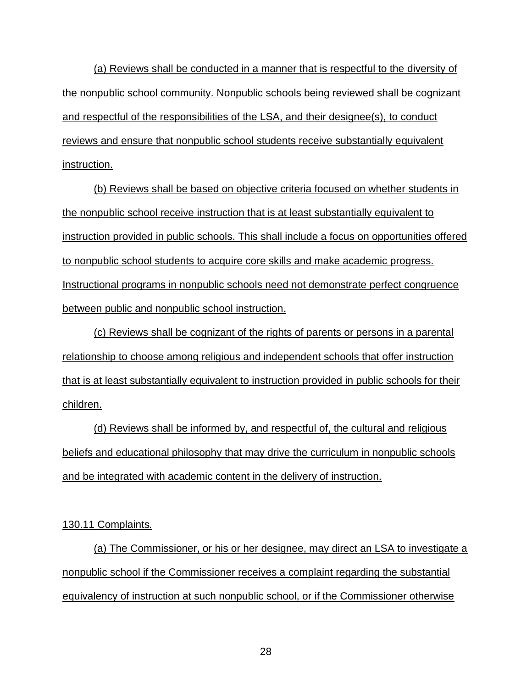(a) Reviews shall be conducted in a manner that is respectful to the diversity of the nonpublic school community. Nonpublic schools being reviewed shall be cognizant and respectful of the responsibilities of the LSA, and their designee(s), to conduct reviews and ensure that nonpublic school students receive substantially equivalent instruction.

(b) Reviews shall be based on objective criteria focused on whether students in the nonpublic school receive instruction that is at least substantially equivalent to instruction provided in public schools. This shall include a focus on opportunities offered to nonpublic school students to acquire core skills and make academic progress. Instructional programs in nonpublic schools need not demonstrate perfect congruence between public and nonpublic school instruction.

(c) Reviews shall be cognizant of the rights of parents or persons in a parental relationship to choose among religious and independent schools that offer instruction that is at least substantially equivalent to instruction provided in public schools for their children.

(d) Reviews shall be informed by, and respectful of, the cultural and religious beliefs and educational philosophy that may drive the curriculum in nonpublic schools and be integrated with academic content in the delivery of instruction.

### 130.11 Complaints*.*

(a) The Commissioner, or his or her designee, may direct an LSA to investigate a nonpublic school if the Commissioner receives a complaint regarding the substantial equivalency of instruction at such nonpublic school, or if the Commissioner otherwise

28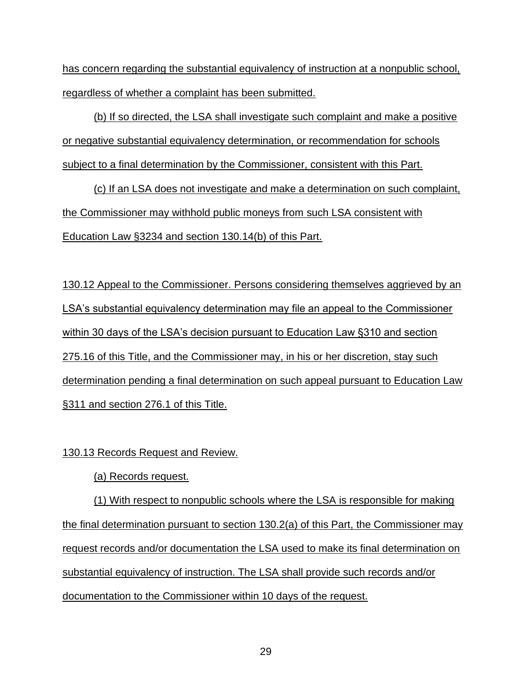has concern regarding the substantial equivalency of instruction at a nonpublic school, regardless of whether a complaint has been submitted.

(b) If so directed, the LSA shall investigate such complaint and make a positive or negative substantial equivalency determination, or recommendation for schools subject to a final determination by the Commissioner, consistent with this Part.

(c) If an LSA does not investigate and make a determination on such complaint, the Commissioner may withhold public moneys from such LSA consistent with Education Law §3234 and section 130.14(b) of this Part.

130.12 Appeal to the Commissioner. Persons considering themselves aggrieved by an LSA's substantial equivalency determination may file an appeal to the Commissioner within 30 days of the LSA's decision pursuant to Education Law §310 and section 275.16 of this Title, and the Commissioner may, in his or her discretion, stay such determination pending a final determination on such appeal pursuant to Education Law §311 and section 276.1 of this Title.

130.13 Records Request and Review.

(a) Records request.

(1) With respect to nonpublic schools where the LSA is responsible for making the final determination pursuant to section 130.2(a) of this Part, the Commissioner may request records and/or documentation the LSA used to make its final determination on substantial equivalency of instruction. The LSA shall provide such records and/or documentation to the Commissioner within 10 days of the request.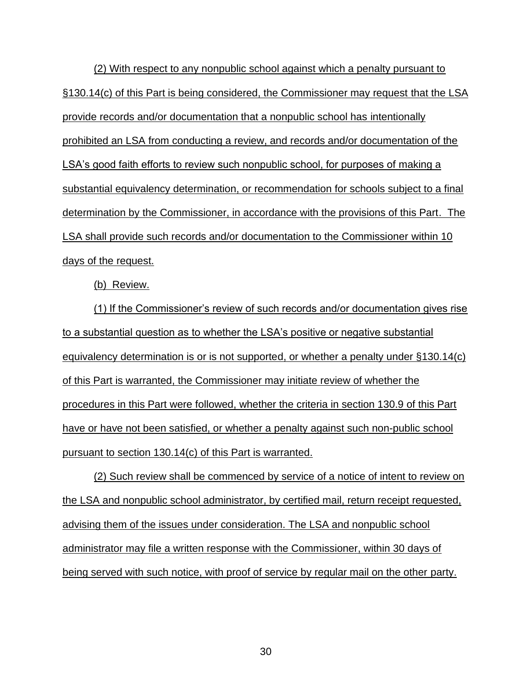(2) With respect to any nonpublic school against which a penalty pursuant to §130.14(c) of this Part is being considered, the Commissioner may request that the LSA provide records and/or documentation that a nonpublic school has intentionally prohibited an LSA from conducting a review, and records and/or documentation of the LSA's good faith efforts to review such nonpublic school, for purposes of making a substantial equivalency determination, or recommendation for schools subject to a final determination by the Commissioner, in accordance with the provisions of this Part. The LSA shall provide such records and/or documentation to the Commissioner within 10 days of the request.

(b) Review.

(1) If the Commissioner's review of such records and/or documentation gives rise to a substantial question as to whether the LSA's positive or negative substantial equivalency determination is or is not supported, or whether a penalty under §130.14(c) of this Part is warranted, the Commissioner may initiate review of whether the procedures in this Part were followed, whether the criteria in section 130.9 of this Part have or have not been satisfied, or whether a penalty against such non-public school pursuant to section 130.14(c) of this Part is warranted.

(2) Such review shall be commenced by service of a notice of intent to review on the LSA and nonpublic school administrator, by certified mail, return receipt requested, advising them of the issues under consideration. The LSA and nonpublic school administrator may file a written response with the Commissioner, within 30 days of being served with such notice, with proof of service by regular mail on the other party.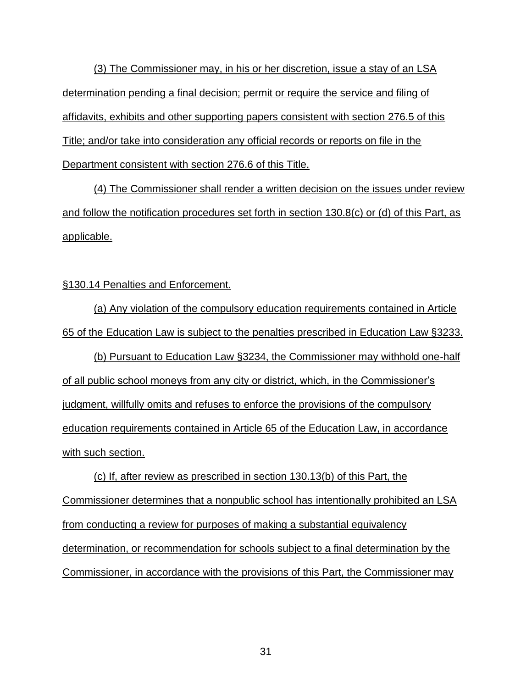(3) The Commissioner may, in his or her discretion, issue a stay of an LSA determination pending a final decision; permit or require the service and filing of affidavits, exhibits and other supporting papers consistent with section 276.5 of this Title; and/or take into consideration any official records or reports on file in the Department consistent with section 276.6 of this Title.

(4) The Commissioner shall render a written decision on the issues under review and follow the notification procedures set forth in section 130.8(c) or (d) of this Part, as applicable.

#### §130.14 Penalties and Enforcement.

(a) Any violation of the compulsory education requirements contained in Article 65 of the Education Law is subject to the penalties prescribed in Education Law §3233.

(b) Pursuant to Education Law §3234, the Commissioner may withhold one-half of all public school moneys from any city or district, which, in the Commissioner's judgment, willfully omits and refuses to enforce the provisions of the compulsory education requirements contained in Article 65 of the Education Law, in accordance with such section.

(c) If, after review as prescribed in section 130.13(b) of this Part, the Commissioner determines that a nonpublic school has intentionally prohibited an LSA from conducting a review for purposes of making a substantial equivalency determination, or recommendation for schools subject to a final determination by the Commissioner, in accordance with the provisions of this Part, the Commissioner may

31